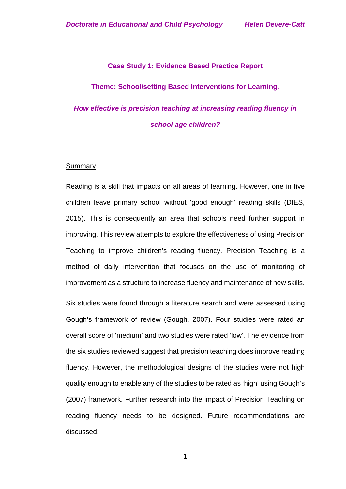#### **Case Study 1: Evidence Based Practice Report**

#### **Theme: School/setting Based Interventions for Learning.**

# *How effective is precision teaching at increasing reading fluency in school age children?*

#### **Summary**

Reading is a skill that impacts on all areas of learning. However, one in five children leave primary school without 'good enough' reading skills (DfES, 2015). This is consequently an area that schools need further support in improving. This review attempts to explore the effectiveness of using Precision Teaching to improve children's reading fluency. Precision Teaching is a method of daily intervention that focuses on the use of monitoring of improvement as a structure to increase fluency and maintenance of new skills. Six studies were found through a literature search and were assessed using Gough's framework of review (Gough, 2007). Four studies were rated an overall score of 'medium' and two studies were rated 'low'. The evidence from the six studies reviewed suggest that precision teaching does improve reading fluency. However, the methodological designs of the studies were not high quality enough to enable any of the studies to be rated as 'high' using Gough's (2007) framework. Further research into the impact of Precision Teaching on reading fluency needs to be designed. Future recommendations are discussed.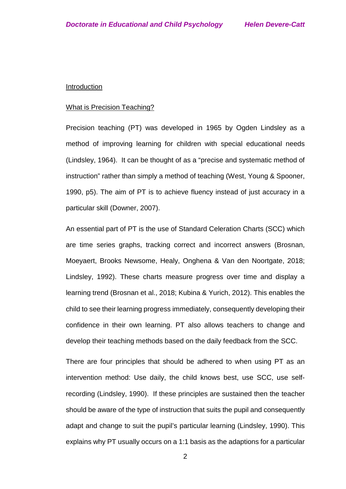#### **Introduction**

#### What is Precision Teaching?

Precision teaching (PT) was developed in 1965 by Ogden Lindsley as a method of improving learning for children with special educational needs (Lindsley, 1964). It can be thought of as a "precise and systematic method of instruction" rather than simply a method of teaching (West, Young & Spooner, 1990, p5). The aim of PT is to achieve fluency instead of just accuracy in a particular skill (Downer, 2007).

An essential part of PT is the use of Standard Celeration Charts (SCC) which are time series graphs, tracking correct and incorrect answers (Brosnan, Moeyaert, Brooks Newsome, Healy, Onghena & Van den Noortgate, 2018; Lindsley, 1992). These charts measure progress over time and display a learning trend (Brosnan et al., 2018; Kubina & Yurich, 2012). This enables the child to see their learning progress immediately, consequently developing their confidence in their own learning. PT also allows teachers to change and develop their teaching methods based on the daily feedback from the SCC.

There are four principles that should be adhered to when using PT as an intervention method: Use daily, the child knows best, use SCC, use selfrecording (Lindsley, 1990). If these principles are sustained then the teacher should be aware of the type of instruction that suits the pupil and consequently adapt and change to suit the pupil's particular learning (Lindsley, 1990). This explains why PT usually occurs on a 1:1 basis as the adaptions for a particular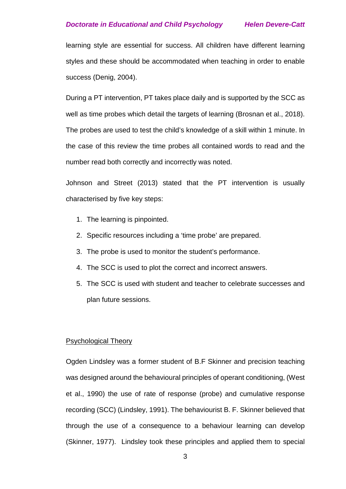learning style are essential for success. All children have different learning styles and these should be accommodated when teaching in order to enable success (Denig, 2004).

During a PT intervention, PT takes place daily and is supported by the SCC as well as time probes which detail the targets of learning (Brosnan et al., 2018). The probes are used to test the child's knowledge of a skill within 1 minute. In the case of this review the time probes all contained words to read and the number read both correctly and incorrectly was noted.

Johnson and Street (2013) stated that the PT intervention is usually characterised by five key steps:

- 1. The learning is pinpointed.
- 2. Specific resources including a 'time probe' are prepared.
- 3. The probe is used to monitor the student's performance.
- 4. The SCC is used to plot the correct and incorrect answers.
- 5. The SCC is used with student and teacher to celebrate successes and plan future sessions.

### Psychological Theory

Ogden Lindsley was a former student of B.F Skinner and precision teaching was designed around the behavioural principles of operant conditioning, (West et al., 1990) the use of rate of response (probe) and cumulative response recording (SCC) (Lindsley, 1991). The behaviourist B. F. Skinner believed that through the use of a consequence to a behaviour learning can develop (Skinner, 1977). Lindsley took these principles and applied them to special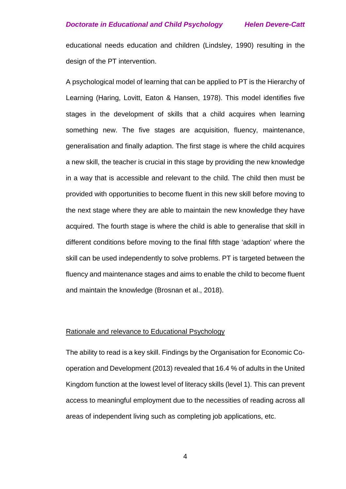educational needs education and children (Lindsley, 1990) resulting in the design of the PT intervention.

A psychological model of learning that can be applied to PT is the Hierarchy of Learning (Haring, Lovitt, Eaton & Hansen, 1978). This model identifies five stages in the development of skills that a child acquires when learning something new. The five stages are acquisition, fluency, maintenance, generalisation and finally adaption. The first stage is where the child acquires a new skill, the teacher is crucial in this stage by providing the new knowledge in a way that is accessible and relevant to the child. The child then must be provided with opportunities to become fluent in this new skill before moving to the next stage where they are able to maintain the new knowledge they have acquired. The fourth stage is where the child is able to generalise that skill in different conditions before moving to the final fifth stage 'adaption' where the skill can be used independently to solve problems. PT is targeted between the fluency and maintenance stages and aims to enable the child to become fluent and maintain the knowledge (Brosnan et al., 2018).

# Rationale and relevance to Educational Psychology

The ability to read is a key skill. Findings by the Organisation for Economic Cooperation and Development (2013) revealed that 16.4 % of adults in the United Kingdom function at the lowest level of literacy skills (level 1). This can prevent access to meaningful employment due to the necessities of reading across all areas of independent living such as completing job applications, etc.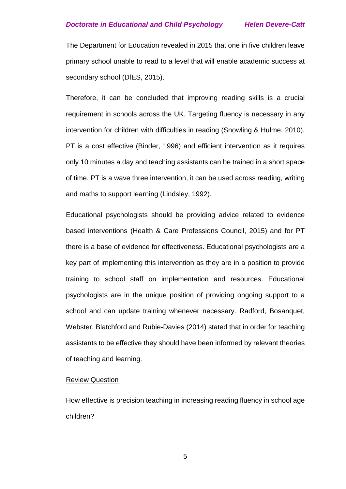The Department for Education revealed in 2015 that one in five children leave primary school unable to read to a level that will enable academic success at secondary school (DfES, 2015).

Therefore, it can be concluded that improving reading skills is a crucial requirement in schools across the UK. Targeting fluency is necessary in any intervention for children with difficulties in reading (Snowling & Hulme, 2010). PT is a cost effective (Binder, 1996) and efficient intervention as it requires only 10 minutes a day and teaching assistants can be trained in a short space of time. PT is a wave three intervention, it can be used across reading, writing and maths to support learning (Lindsley, 1992).

Educational psychologists should be providing advice related to evidence based interventions (Health & Care Professions Council, 2015) and for PT there is a base of evidence for effectiveness. Educational psychologists are a key part of implementing this intervention as they are in a position to provide training to school staff on implementation and resources. Educational psychologists are in the unique position of providing ongoing support to a school and can update training whenever necessary. Radford, Bosanquet, Webster, Blatchford and Rubie-Davies (2014) stated that in order for teaching assistants to be effective they should have been informed by relevant theories of teaching and learning.

#### Review Question

How effective is precision teaching in increasing reading fluency in school age children?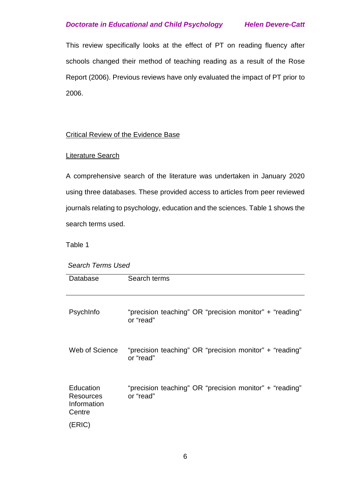This review specifically looks at the effect of PT on reading fluency after schools changed their method of teaching reading as a result of the Rose Report (2006). Previous reviews have only evaluated the impact of PT prior to 2006.

# Critical Review of the Evidence Base

# Literature Search

A comprehensive search of the literature was undertaken in January 2020 using three databases. These provided access to articles from peer reviewed journals relating to psychology, education and the sciences. Table 1 shows the search terms used.

Table 1

*Search Terms Used*

| Database                                        | Search terms                                                         |
|-------------------------------------------------|----------------------------------------------------------------------|
| Psychinfo                                       | "precision teaching" OR "precision monitor" + "reading"<br>or "read" |
| Web of Science                                  | "precision teaching" OR "precision monitor" + "reading"<br>or "read" |
| Education<br>Resources<br>Information<br>Centre | "precision teaching" OR "precision monitor" + "reading"<br>or "read" |
| (ERIC)                                          |                                                                      |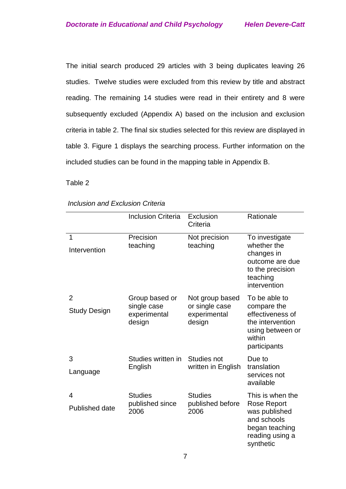The initial search produced 29 articles with 3 being duplicates leaving 26 studies. Twelve studies were excluded from this review by title and abstract reading. The remaining 14 studies were read in their entirety and 8 were subsequently excluded (Appendix A) based on the inclusion and exclusion criteria in table 2. The final six studies selected for this review are displayed in table 3. Figure 1 displays the searching process. Further information on the included studies can be found in the mapping table in Appendix B.

Table 2

|  | Inclusion and Exclusion Criteria |
|--|----------------------------------|
|--|----------------------------------|

|                                       | <b>Inclusion Criteria</b>                               | Exclusion<br>Criteria                                       | Rationale                                                                                                          |
|---------------------------------------|---------------------------------------------------------|-------------------------------------------------------------|--------------------------------------------------------------------------------------------------------------------|
| 1<br>Intervention                     | Precision<br>teaching                                   | Not precision<br>teaching                                   | To investigate<br>whether the<br>changes in<br>outcome are due<br>to the precision<br>teaching<br>intervention     |
| $\overline{2}$<br><b>Study Design</b> | Group based or<br>single case<br>experimental<br>design | Not group based<br>or single case<br>experimental<br>design | To be able to<br>compare the<br>effectiveness of<br>the intervention<br>using between or<br>within<br>participants |
| 3<br>Language                         | Studies written in<br>English                           | Studies not<br>written in English                           | Due to<br>translation<br>services not<br>available                                                                 |
| 4<br>Published date                   | <b>Studies</b><br>published since<br>2006               | <b>Studies</b><br>published before<br>2006                  | This is when the<br>Rose Report<br>was published<br>and schools<br>began teaching<br>reading using a<br>synthetic  |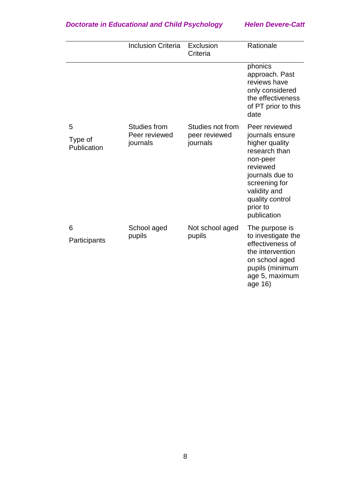|                             | <b>Inclusion Criteria</b>                        | Exclusion<br>Criteria                         | Rationale                                                                                                                                                                                     |
|-----------------------------|--------------------------------------------------|-----------------------------------------------|-----------------------------------------------------------------------------------------------------------------------------------------------------------------------------------------------|
|                             |                                                  |                                               | phonics<br>approach. Past<br>reviews have<br>only considered<br>the effectiveness<br>of PT prior to this<br>date                                                                              |
| 5<br>Type of<br>Publication | <b>Studies from</b><br>Peer reviewed<br>journals | Studies not from<br>peer reviewed<br>journals | Peer reviewed<br>journals ensure<br>higher quality<br>research than<br>non-peer<br>reviewed<br>journals due to<br>screening for<br>validity and<br>quality control<br>prior to<br>publication |
| 6<br>Participants           | School aged<br>pupils                            | Not school aged<br>pupils                     | The purpose is<br>to investigate the<br>effectiveness of<br>the intervention<br>on school aged<br>pupils (minimum<br>age 5, maximum<br>age 16)                                                |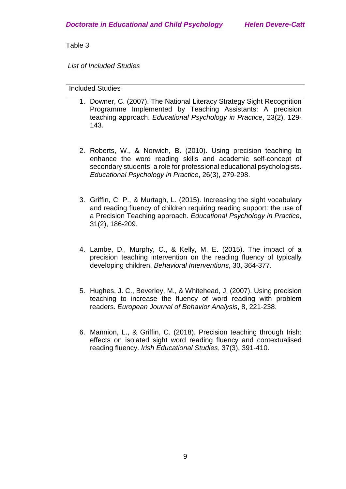Table 3

*List of Included Studies*

# Included Studies

- 1. Downer, C. (2007). The National Literacy Strategy Sight Recognition Programme Implemented by Teaching Assistants: A precision teaching approach. *Educational Psychology in Practice*, 23(2), 129- 143.
- 2. Roberts, W., & Norwich, B. (2010). Using precision teaching to enhance the word reading skills and academic self-concept of secondary students: a role for professional educational psychologists. *Educational Psychology in Practice*, 26(3), 279-298.
- 3. Griffin, C. P., & Murtagh, L. (2015). Increasing the sight vocabulary and reading fluency of children requiring reading support: the use of a Precision Teaching approach. *Educational Psychology in Practice*, 31(2), 186-209.
- 4. Lambe, D., Murphy, C., & Kelly, M. E. (2015). The impact of a precision teaching intervention on the reading fluency of typically developing children. *Behavioral Interventions*, 30, 364-377.
- 5. Hughes, J. C., Beverley, M., & Whitehead, J. (2007). Using precision teaching to increase the fluency of word reading with problem readers. *European Journal of Behavior Analysis*, 8, 221-238.
- 6. Mannion, L., & Griffin, C. (2018). Precision teaching through Irish: effects on isolated sight word reading fluency and contextualised reading fluency. *Irish Educational Studies*, 37(3), 391-410.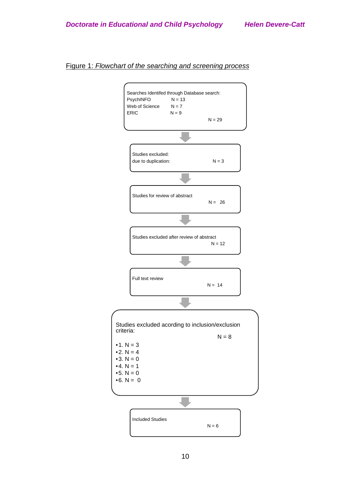#### Figure 1: *Flowchart of the searching and screening process*

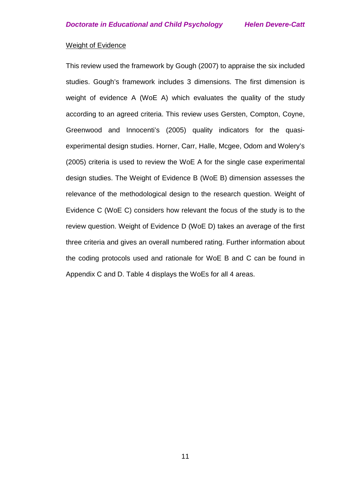## Weight of Evidence

This review used the framework by Gough (2007) to appraise the six included studies. Gough's framework includes 3 dimensions. The first dimension is weight of evidence A (WoE A) which evaluates the quality of the study according to an agreed criteria. This review uses Gersten, Compton, Coyne, Greenwood and Innocenti's (2005) quality indicators for the quasiexperimental design studies. Horner, Carr, Halle, Mcgee, Odom and Wolery's (2005) criteria is used to review the WoE A for the single case experimental design studies. The Weight of Evidence B (WoE B) dimension assesses the relevance of the methodological design to the research question. Weight of Evidence C (WoE C) considers how relevant the focus of the study is to the review question. Weight of Evidence D (WoE D) takes an average of the first three criteria and gives an overall numbered rating. Further information about the coding protocols used and rationale for WoE B and C can be found in Appendix C and D. Table 4 displays the WoEs for all 4 areas.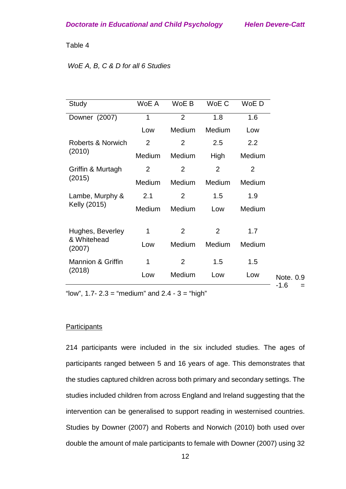#### Table 4

# *WoE A, B, C & D for all 6 Studies*

| Study                        | WoE A  | WoE B          | WoE C          | WoE D          |               |
|------------------------------|--------|----------------|----------------|----------------|---------------|
| Downer (2007)                | 1      | $\overline{2}$ | 1.8            | 1.6            |               |
|                              | Low    | Medium         | Medium         | Low            |               |
| Roberts & Norwich            | 2      | $\overline{2}$ | 2.5            | 2.2            |               |
| (2010)                       | Medium | Medium         | High           | Medium         |               |
| Griffin & Murtagh            | 2      | $\overline{2}$ | 2              | $\overline{2}$ |               |
| (2015)                       | Medium | Medium         | Medium         | Medium         |               |
| Lambe, Murphy &              | 2.1    | $\overline{2}$ | 1.5            | 1.9            |               |
| Kelly (2015)                 | Medium | Medium         | Low            | Medium         |               |
| Hughes, Beverley             | 1      | $\overline{2}$ | $\overline{2}$ | 1.7            |               |
| & Whitehead<br>(2007)        | Low    | Medium         | Medium         | Medium         |               |
| <b>Mannion &amp; Griffin</b> | 1      | $\overline{2}$ | 1.5            | 1.5            |               |
| (2018)                       | Low    | Medium         | Low            | Low            | Note. 0.9     |
|                              |        |                |                |                | $-1.6$<br>$=$ |

"low",  $1.7 - 2.3$  = "medium" and  $2.4 - 3$  = "high"

#### **Participants**

214 participants were included in the six included studies. The ages of participants ranged between 5 and 16 years of age. This demonstrates that the studies captured children across both primary and secondary settings. The studies included children from across England and Ireland suggesting that the intervention can be generalised to support reading in westernised countries. Studies by Downer (2007) and Roberts and Norwich (2010) both used over double the amount of male participants to female with Downer (2007) using 32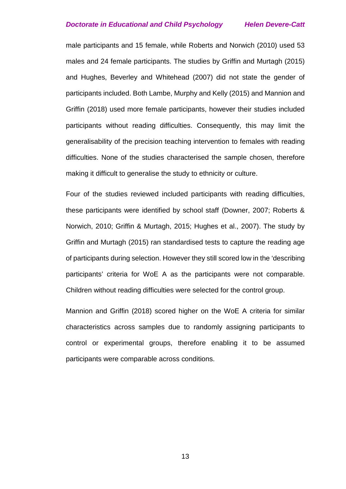male participants and 15 female, while Roberts and Norwich (2010) used 53 males and 24 female participants. The studies by Griffin and Murtagh (2015) and Hughes, Beverley and Whitehead (2007) did not state the gender of participants included. Both Lambe, Murphy and Kelly (2015) and Mannion and Griffin (2018) used more female participants, however their studies included participants without reading difficulties. Consequently, this may limit the generalisability of the precision teaching intervention to females with reading difficulties. None of the studies characterised the sample chosen, therefore making it difficult to generalise the study to ethnicity or culture.

Four of the studies reviewed included participants with reading difficulties, these participants were identified by school staff (Downer, 2007; Roberts & Norwich, 2010; Griffin & Murtagh, 2015; Hughes et al., 2007). The study by Griffin and Murtagh (2015) ran standardised tests to capture the reading age of participants during selection. However they still scored low in the 'describing participants' criteria for WoE A as the participants were not comparable. Children without reading difficulties were selected for the control group.

Mannion and Griffin (2018) scored higher on the WoE A criteria for similar characteristics across samples due to randomly assigning participants to control or experimental groups, therefore enabling it to be assumed participants were comparable across conditions.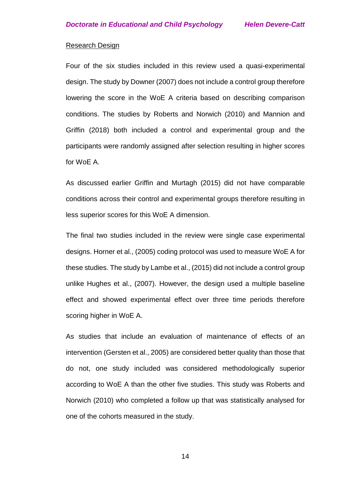## Research Design

Four of the six studies included in this review used a quasi-experimental design. The study by Downer (2007) does not include a control group therefore lowering the score in the WoE A criteria based on describing comparison conditions. The studies by Roberts and Norwich (2010) and Mannion and Griffin (2018) both included a control and experimental group and the participants were randomly assigned after selection resulting in higher scores for WoE A.

As discussed earlier Griffin and Murtagh (2015) did not have comparable conditions across their control and experimental groups therefore resulting in less superior scores for this WoE A dimension.

The final two studies included in the review were single case experimental designs. Horner et al., (2005) coding protocol was used to measure WoE A for these studies. The study by Lambe et al., (2015) did not include a control group unlike Hughes et al., (2007). However, the design used a multiple baseline effect and showed experimental effect over three time periods therefore scoring higher in WoE A.

As studies that include an evaluation of maintenance of effects of an intervention (Gersten et al., 2005) are considered better quality than those that do not, one study included was considered methodologically superior according to WoE A than the other five studies. This study was Roberts and Norwich (2010) who completed a follow up that was statistically analysed for one of the cohorts measured in the study.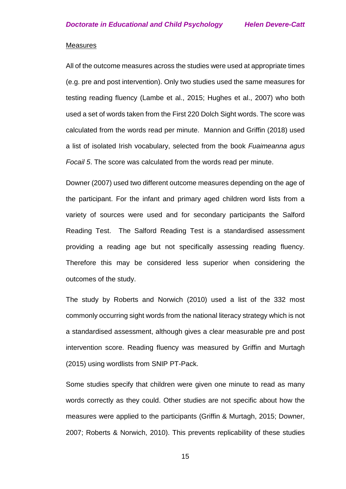#### **Measures**

All of the outcome measures across the studies were used at appropriate times (e.g. pre and post intervention). Only two studies used the same measures for testing reading fluency (Lambe et al., 2015; Hughes et al., 2007) who both used a set of words taken from the First 220 Dolch Sight words. The score was calculated from the words read per minute. Mannion and Griffin (2018) used a list of isolated Irish vocabulary, selected from the book *Fuaimeanna agus Focail 5*. The score was calculated from the words read per minute.

Downer (2007) used two different outcome measures depending on the age of the participant. For the infant and primary aged children word lists from a variety of sources were used and for secondary participants the Salford Reading Test. The Salford Reading Test is a standardised assessment providing a reading age but not specifically assessing reading fluency. Therefore this may be considered less superior when considering the outcomes of the study.

The study by Roberts and Norwich (2010) used a list of the 332 most commonly occurring sight words from the national literacy strategy which is not a standardised assessment, although gives a clear measurable pre and post intervention score. Reading fluency was measured by Griffin and Murtagh (2015) using wordlists from SNIP PT-Pack.

Some studies specify that children were given one minute to read as many words correctly as they could. Other studies are not specific about how the measures were applied to the participants (Griffin & Murtagh, 2015; Downer, 2007; Roberts & Norwich, 2010). This prevents replicability of these studies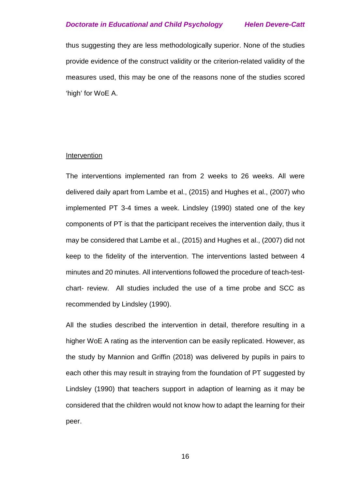thus suggesting they are less methodologically superior. None of the studies provide evidence of the construct validity or the criterion-related validity of the measures used, this may be one of the reasons none of the studies scored 'high' for WoE A.

#### Intervention

The interventions implemented ran from 2 weeks to 26 weeks. All were delivered daily apart from Lambe et al., (2015) and Hughes et al., (2007) who implemented PT 3-4 times a week. Lindsley (1990) stated one of the key components of PT is that the participant receives the intervention daily, thus it may be considered that Lambe et al., (2015) and Hughes et al., (2007) did not keep to the fidelity of the intervention. The interventions lasted between 4 minutes and 20 minutes. All interventions followed the procedure of teach-testchart- review. All studies included the use of a time probe and SCC as recommended by Lindsley (1990).

All the studies described the intervention in detail, therefore resulting in a higher WoE A rating as the intervention can be easily replicated. However, as the study by Mannion and Griffin (2018) was delivered by pupils in pairs to each other this may result in straying from the foundation of PT suggested by Lindsley (1990) that teachers support in adaption of learning as it may be considered that the children would not know how to adapt the learning for their peer.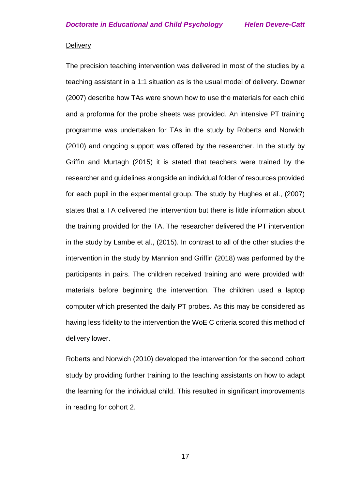#### **Delivery**

The precision teaching intervention was delivered in most of the studies by a teaching assistant in a 1:1 situation as is the usual model of delivery. Downer (2007) describe how TAs were shown how to use the materials for each child and a proforma for the probe sheets was provided. An intensive PT training programme was undertaken for TAs in the study by Roberts and Norwich (2010) and ongoing support was offered by the researcher. In the study by Griffin and Murtagh (2015) it is stated that teachers were trained by the researcher and guidelines alongside an individual folder of resources provided for each pupil in the experimental group. The study by Hughes et al., (2007) states that a TA delivered the intervention but there is little information about the training provided for the TA. The researcher delivered the PT intervention in the study by Lambe et al., (2015). In contrast to all of the other studies the intervention in the study by Mannion and Griffin (2018) was performed by the participants in pairs. The children received training and were provided with materials before beginning the intervention. The children used a laptop computer which presented the daily PT probes. As this may be considered as having less fidelity to the intervention the WoE C criteria scored this method of delivery lower.

Roberts and Norwich (2010) developed the intervention for the second cohort study by providing further training to the teaching assistants on how to adapt the learning for the individual child. This resulted in significant improvements in reading for cohort 2.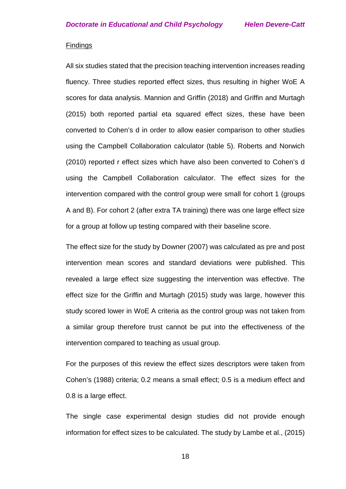#### Findings

All six studies stated that the precision teaching intervention increases reading fluency. Three studies reported effect sizes, thus resulting in higher WoE A scores for data analysis. Mannion and Griffin (2018) and Griffin and Murtagh (2015) both reported partial eta squared effect sizes, these have been converted to Cohen's d in order to allow easier comparison to other studies using the Campbell Collaboration calculator (table 5). Roberts and Norwich (2010) reported r effect sizes which have also been converted to Cohen's d using the Campbell Collaboration calculator. The effect sizes for the intervention compared with the control group were small for cohort 1 (groups A and B). For cohort 2 (after extra TA training) there was one large effect size for a group at follow up testing compared with their baseline score.

The effect size for the study by Downer (2007) was calculated as pre and post intervention mean scores and standard deviations were published. This revealed a large effect size suggesting the intervention was effective. The effect size for the Griffin and Murtagh (2015) study was large, however this study scored lower in WoE A criteria as the control group was not taken from a similar group therefore trust cannot be put into the effectiveness of the intervention compared to teaching as usual group.

For the purposes of this review the effect sizes descriptors were taken from Cohen's (1988) criteria; 0.2 means a small effect; 0.5 is a medium effect and 0.8 is a large effect.

The single case experimental design studies did not provide enough information for effect sizes to be calculated. The study by Lambe et al., (2015)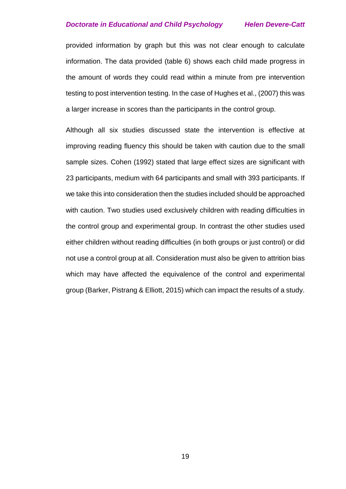provided information by graph but this was not clear enough to calculate information. The data provided (table 6) shows each child made progress in the amount of words they could read within a minute from pre intervention testing to post intervention testing. In the case of Hughes et al., (2007) this was a larger increase in scores than the participants in the control group.

Although all six studies discussed state the intervention is effective at improving reading fluency this should be taken with caution due to the small sample sizes. Cohen (1992) stated that large effect sizes are significant with 23 participants, medium with 64 participants and small with 393 participants. If we take this into consideration then the studies included should be approached with caution. Two studies used exclusively children with reading difficulties in the control group and experimental group. In contrast the other studies used either children without reading difficulties (in both groups or just control) or did not use a control group at all. Consideration must also be given to attrition bias which may have affected the equivalence of the control and experimental group (Barker, Pistrang & Elliott, 2015) which can impact the results of a study.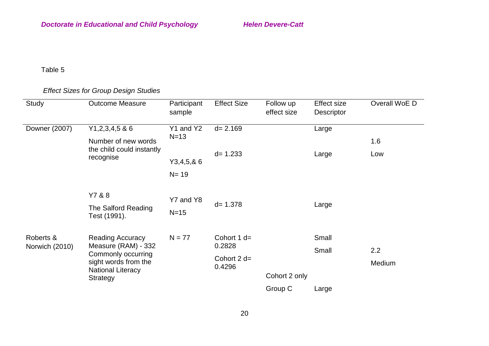# Table 5

# *Effect Sizes for Group Design Studies*

| Study          | <b>Outcome Measure</b>                        | Participant<br>sample | <b>Effect Size</b>     | Follow up<br>effect size | <b>Effect size</b><br>Descriptor | Overall WoE D |
|----------------|-----------------------------------------------|-----------------------|------------------------|--------------------------|----------------------------------|---------------|
| Downer (2007)  | $Y1,2,3,4,5$ & 6                              | Y1 and Y2             | $d = 2.169$            |                          | Large                            |               |
|                | Number of new words                           | $N=13$                |                        |                          |                                  | 1.6           |
|                | the child could instantly<br>recognise        | Y3,4,5,86<br>$N = 19$ | $d = 1.233$            |                          | Large                            | Low           |
|                | Y7 & 8<br>The Salford Reading<br>Test (1991). | Y7 and Y8<br>$N=15$   | $d = 1.378$            |                          | Large                            |               |
| Roberts &      | <b>Reading Accuracy</b>                       | $N = 77$              | Cohort $1 d=$          |                          | Small                            |               |
| Norwich (2010) | Measure (RAM) - 332<br>Commonly occurring     |                       | 0.2828                 |                          | Small                            | 2.2           |
|                | sight words from the                          |                       | Cohort $2d=$<br>0.4296 |                          |                                  | Medium        |
|                | <b>National Literacy</b><br><b>Strategy</b>   |                       |                        | Cohort 2 only            |                                  |               |
|                |                                               |                       |                        | Group C                  | Large                            |               |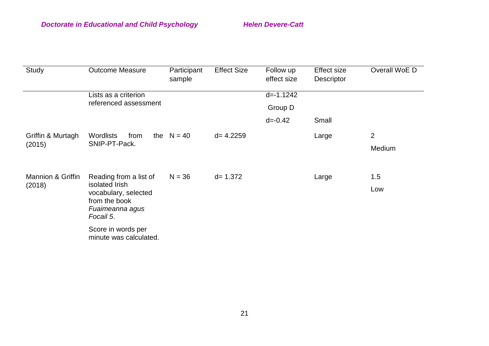| Study                        | <b>Outcome Measure</b>                                  | Participant<br>sample | <b>Effect Size</b> | Follow up<br>effect size | <b>Effect size</b><br>Descriptor | Overall WoE D  |
|------------------------------|---------------------------------------------------------|-----------------------|--------------------|--------------------------|----------------------------------|----------------|
|                              | Lists as a criterion                                    |                       |                    | $d = -1.1242$            |                                  |                |
|                              | referenced assessment                                   |                       |                    | Group D                  |                                  |                |
|                              |                                                         |                       |                    | $d = -0.42$              | Small                            |                |
| Griffin & Murtagh            | <b>Wordlists</b><br>from                                | the $N = 40$          | $d = 4.2259$       |                          | Large                            | $\overline{2}$ |
| (2015)                       | SNIP-PT-Pack.                                           |                       |                    |                          |                                  | Medium         |
|                              |                                                         |                       |                    |                          |                                  |                |
| <b>Mannion &amp; Griffin</b> | Reading from a list of                                  | $N = 36$              | $d = 1.372$        |                          | Large                            | 1.5            |
| (2018)                       | isolated Irish<br>vocabulary, selected<br>from the book |                       |                    |                          |                                  | Low            |
|                              |                                                         |                       |                    |                          |                                  |                |
|                              | Fuaimeanna agus<br>Focail 5.                            |                       |                    |                          |                                  |                |
|                              | Score in words per                                      |                       |                    |                          |                                  |                |
|                              | minute was calculated.                                  |                       |                    |                          |                                  |                |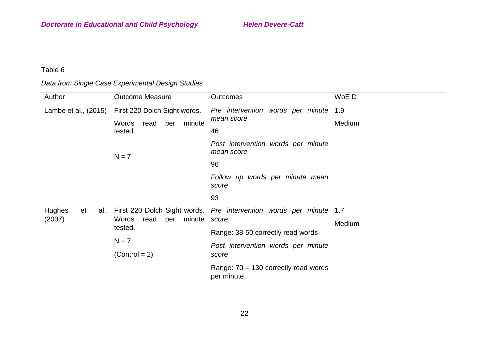# Table 6

# *Data from Single Case Experimental Design Studies*

| Author               | <b>Outcome Measure</b>         | <b>Outcomes</b>                                                         | WoE D  |
|----------------------|--------------------------------|-------------------------------------------------------------------------|--------|
| Lambe et al., (2015) | First 220 Dolch Sight words.   | Pre intervention words per minute                                       | 1.9    |
|                      | Words<br>minute<br>read<br>per | mean score                                                              | Medium |
|                      | tested.                        | 46                                                                      |        |
|                      | $N = 7$                        | Post intervention words per minute<br>mean score                        |        |
|                      |                                | 96                                                                      |        |
|                      |                                | Follow up words per minute mean<br>score                                |        |
|                      |                                | 93                                                                      |        |
| Hughes<br>et         |                                | al., First 220 Dolch Sight words. Pre intervention words per minute 1.7 |        |
| (2007)               | minute<br>Words<br>read<br>per | score                                                                   | Medium |
|                      | tested.                        | Range: 38-50 correctly read words                                       |        |
|                      | $N = 7$                        | Post intervention words per minute                                      |        |
|                      | $(Control = 2)$                | score                                                                   |        |
|                      |                                | Range: 70 - 130 correctly read words<br>per minute                      |        |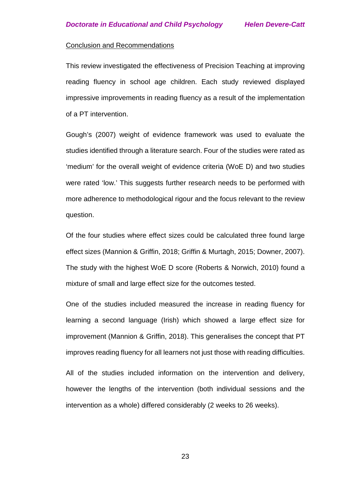#### Conclusion and Recommendations

This review investigated the effectiveness of Precision Teaching at improving reading fluency in school age children. Each study reviewed displayed impressive improvements in reading fluency as a result of the implementation of a PT intervention.

Gough's (2007) weight of evidence framework was used to evaluate the studies identified through a literature search. Four of the studies were rated as 'medium' for the overall weight of evidence criteria (WoE D) and two studies were rated 'low.' This suggests further research needs to be performed with more adherence to methodological rigour and the focus relevant to the review question.

Of the four studies where effect sizes could be calculated three found large effect sizes (Mannion & Griffin, 2018; Griffin & Murtagh, 2015; Downer, 2007). The study with the highest WoE D score (Roberts & Norwich, 2010) found a mixture of small and large effect size for the outcomes tested.

One of the studies included measured the increase in reading fluency for learning a second language (Irish) which showed a large effect size for improvement (Mannion & Griffin, 2018). This generalises the concept that PT improves reading fluency for all learners not just those with reading difficulties.

All of the studies included information on the intervention and delivery, however the lengths of the intervention (both individual sessions and the intervention as a whole) differed considerably (2 weeks to 26 weeks).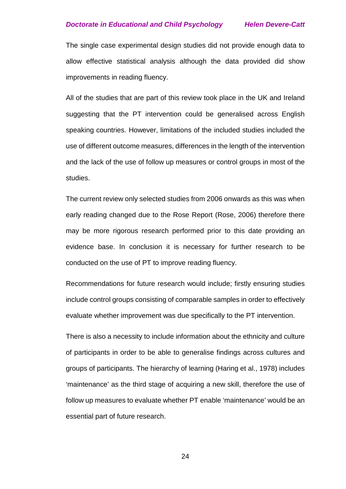The single case experimental design studies did not provide enough data to allow effective statistical analysis although the data provided did show improvements in reading fluency.

All of the studies that are part of this review took place in the UK and Ireland suggesting that the PT intervention could be generalised across English speaking countries. However, limitations of the included studies included the use of different outcome measures, differences in the length of the intervention and the lack of the use of follow up measures or control groups in most of the studies.

The current review only selected studies from 2006 onwards as this was when early reading changed due to the Rose Report (Rose, 2006) therefore there may be more rigorous research performed prior to this date providing an evidence base. In conclusion it is necessary for further research to be conducted on the use of PT to improve reading fluency.

Recommendations for future research would include; firstly ensuring studies include control groups consisting of comparable samples in order to effectively evaluate whether improvement was due specifically to the PT intervention.

There is also a necessity to include information about the ethnicity and culture of participants in order to be able to generalise findings across cultures and groups of participants. The hierarchy of learning (Haring et al., 1978) includes 'maintenance' as the third stage of acquiring a new skill, therefore the use of follow up measures to evaluate whether PT enable 'maintenance' would be an essential part of future research.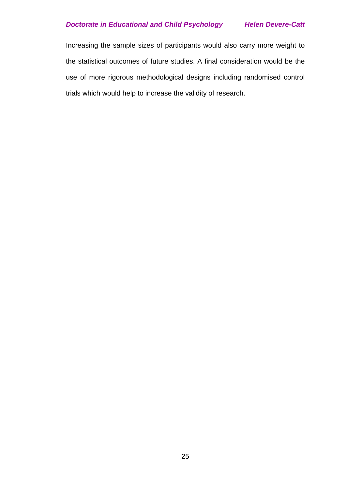Increasing the sample sizes of participants would also carry more weight to the statistical outcomes of future studies. A final consideration would be the use of more rigorous methodological designs including randomised control trials which would help to increase the validity of research.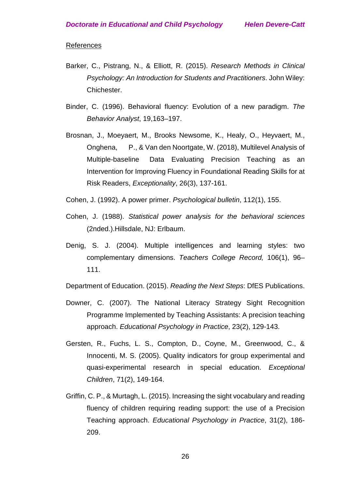## References

- Barker, C., Pistrang, N., & Elliott, R. (2015). *Research Methods in Clinical Psychology: An Introduction for Students and Practitioners*. John Wiley: Chichester.
- Binder, C. (1996). Behavioral fluency: Evolution of a new paradigm. *The Behavior Analyst*, 19,163–197.
- Brosnan, J., Moeyaert, M., Brooks Newsome, K., Healy, O., Heyvaert, M., Onghena, P., & Van den Noortgate, W. (2018), Multilevel Analysis of Multiple-baseline Data Evaluating Precision Teaching as an Intervention for Improving Fluency in Foundational Reading Skills for at Risk Readers, *Exceptionality*, 26(3), 137-161.
- Cohen, J. (1992). A power primer. *Psychological bulletin*, 112(1), 155.
- Cohen, J. (1988). *Statistical power analysis for the behavioral sciences* (2nded.).Hillsdale, NJ: Erlbaum.
- Denig, S. J. (2004). Multiple intelligences and learning styles: two complementary dimensions. *Teachers College Record,* 106(1), 96– 111.

Department of Education. (2015). *Reading the Next Steps*: DfES Publications.

- Downer, C. (2007). The National Literacy Strategy Sight Recognition Programme Implemented by Teaching Assistants: A precision teaching approach. *Educational Psychology in Practice*, 23(2), 129-143.
- Gersten, R., Fuchs, L. S., Compton, D., Coyne, M., Greenwood, C., & Innocenti, M. S. (2005). Quality indicators for group experimental and quasi-experimental research in special education. *Exceptional Children*, 71(2), 149-164.
- Griffin, C. P., & Murtagh, L. (2015). Increasing the sight vocabulary and reading fluency of children requiring reading support: the use of a Precision Teaching approach. *Educational Psychology in Practice*, 31(2), 186- 209.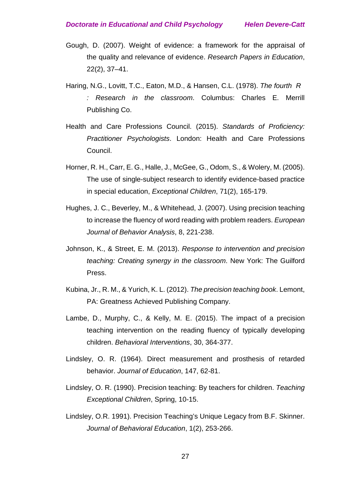- Gough, D. (2007). Weight of evidence: a framework for the appraisal of the quality and relevance of evidence. *Research Papers in Education*, 22(2), 37–41.
- Haring, N.G., Lovitt, T.C., Eaton, M.D., & Hansen, C.L. (1978). *The fourth R : Research in the classroom*. Columbus: Charles E. Merrill Publishing Co.
- Health and Care Professions Council. (2015). *Standards of Proficiency: Practitioner Psychologists*. London: Health and Care Professions Council.
- Horner, R. H., Carr, E. G., Halle, J., McGee, G., Odom, S., & Wolery, M. (2005). The use of single-subject research to identify evidence-based practice in special education, *Exceptional Children*, 71(2), 165-179.
- Hughes, J. C., Beverley, M., & Whitehead, J. (2007). Using precision teaching to increase the fluency of word reading with problem readers. *European Journal of Behavior Analysis*, 8, 221-238.
- Johnson, K., & Street, E. M. (2013). *Response to intervention and precision teaching: Creating synergy in the classroom*. New York: The Guilford Press.
- Kubina, Jr., R. M., & Yurich, K. L. (2012). *The precision teaching book*. Lemont, PA: Greatness Achieved Publishing Company.
- Lambe, D., Murphy, C., & Kelly, M. E. (2015). The impact of a precision teaching intervention on the reading fluency of typically developing children. *Behavioral Interventions*, 30, 364-377.
- Lindsley, O. R. (1964). Direct measurement and prosthesis of retarded behavior. *Journal of Education*, 147, 62-81.
- Lindsley, O. R. (1990). Precision teaching: By teachers for children. *Teaching Exceptional Children*, Spring, 10-15.
- Lindsley, O.R. 1991). Precision Teaching's Unique Legacy from B.F. Skinner. *Journal of Behavioral Education*, 1(2), 253-266.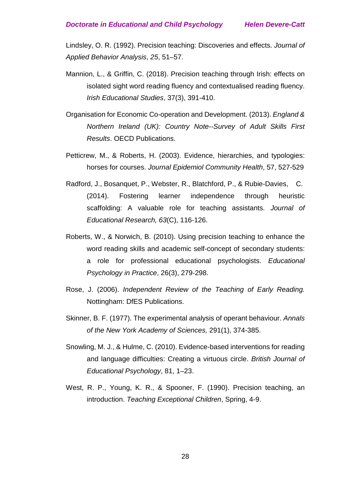Lindsley, O. R. (1992). Precision teaching: Discoveries and effects. *Journal of Applied Behavior Analysis*, *25*, 51–57.

- Mannion, L., & Griffin, C. (2018). Precision teaching through Irish: effects on isolated sight word reading fluency and contextualised reading fluency. *Irish Educational Studies*, 37(3), 391-410.
- Organisation for Economic Co-operation and Development. (2013). *[England &](https://www.oecd.org/skills/piaac/Country%20note%20-%20United%20Kingdom.pdf)  [Northern Ireland \(UK\): Country Note--Survey of Adult Skills First](https://www.oecd.org/skills/piaac/Country%20note%20-%20United%20Kingdom.pdf)  [Results](https://www.oecd.org/skills/piaac/Country%20note%20-%20United%20Kingdom.pdf)*. OECD Publications.
- Petticrew, M., & Roberts, H. (2003). Evidence, hierarchies, and typologies: horses for courses. *Journal Epidemiol Community Health*, 57, 527-529
- Radford, J., Bosanquet, P., Webster, R., Blatchford, P., & Rubie-Davies, C. (2014). Fostering learner independence through heuristic scaffolding: A valuable role for teaching assistants. *Journal of Educational Research, 63*(C), 116-126.
- Roberts, W., & Norwich, B. (2010). Using precision teaching to enhance the word reading skills and academic self-concept of secondary students: a role for professional educational psychologists. *Educational Psychology in Practice*, 26(3), 279-298.
- Rose, J. (2006). *Independent Review of the Teaching of Early Reading.*  Nottingham: DfES Publications.
- Skinner, B. F. (1977). The experimental analysis of operant behaviour. *Annals of the New York Academy of Sciences,* 291(1), 374-385.
- Snowling, M. J., & Hulme, C. (2010). Evidence-based interventions for reading and language difficulties: Creating a virtuous circle. *British Journal of Educational Psychology*, 81, 1–23.
- West, R. P., Young, K. R., & Spooner, F. (1990). Precision teaching, an introduction. *Teaching Exceptional Children*, Spring, 4-9.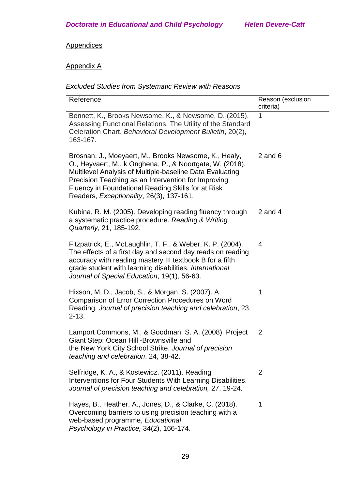# **Appendices**

# Appendix A

# *Excluded Studies from Systematic Review with Reasons*

| Reference                                                                                                                                                                                                                                                                                                                              | Reason (exclusion<br>criteria) |
|----------------------------------------------------------------------------------------------------------------------------------------------------------------------------------------------------------------------------------------------------------------------------------------------------------------------------------------|--------------------------------|
| Bennett, K., Brooks Newsome, K., & Newsome, D. (2015).<br>Assessing Functional Relations: The Utility of the Standard<br>Celeration Chart. Behavioral Development Bulletin, 20(2),<br>163-167.                                                                                                                                         | 1                              |
| Brosnan, J., Moeyaert, M., Brooks Newsome, K., Healy,<br>O., Heyvaert, M., k Onghena, P., & Noortgate, W. (2018).<br>Multilevel Analysis of Multiple-baseline Data Evaluating<br>Precision Teaching as an Intervention for Improving<br>Fluency in Foundational Reading Skills for at Risk<br>Readers, Exceptionality, 26(3), 137-161. | $2$ and $6$                    |
| Kubina, R. M. (2005). Developing reading fluency through<br>a systematic practice procedure. Reading & Writing<br>Quarterly, 21, 185-192.                                                                                                                                                                                              | $2$ and $4$                    |
| Fitzpatrick, E., McLaughlin, T. F., & Weber, K. P. (2004).<br>The effects of a first day and second day reads on reading<br>accuracy with reading mastery III textbook B for a fifth<br>grade student with learning disabilities. International<br>Journal of Special Education, 19(1), 56-63.                                         | $\overline{4}$                 |
| Hixson, M. D., Jacob, S., & Morgan, S. (2007). A<br><b>Comparison of Error Correction Procedures on Word</b><br>Reading. Journal of precision teaching and celebration, 23,<br>$2 - 13.$                                                                                                                                               | 1                              |
| Lamport Commons, M., & Goodman, S. A. (2008). Project<br>Giant Step: Ocean Hill - Brownsville and<br>the New York City School Strike. Journal of precision<br>teaching and celebration, 24, 38-42.                                                                                                                                     | $\overline{2}$                 |
| Selfridge, K. A., & Kostewicz. (2011). Reading<br>Interventions for Four Students With Learning Disabilities.<br>Journal of precision teaching and celebration, 27, 19-24.                                                                                                                                                             | $\overline{2}$                 |
| Hayes, B., Heather, A., Jones, D., & Clarke, C. (2018).<br>Overcoming barriers to using precision teaching with a<br>web-based programme, Educational<br>Psychology in Practice, 34(2), 166-174.                                                                                                                                       | 1                              |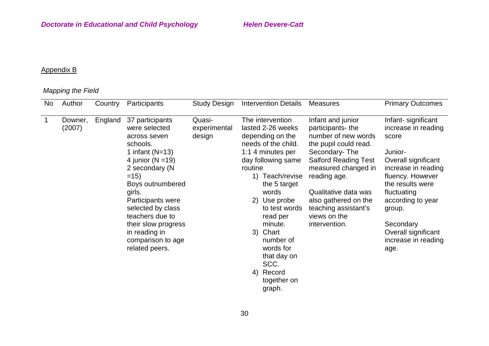# Appendix B

# *Mapping the Field*

| <b>No</b> | Author            | Country | Participants                                                                                                                                                                                                                                                                                                    | <b>Study Design</b>              | <b>Intervention Details</b>                                                                                                                                                                                                                                                                                                                         | <b>Measures</b>                                                                                                                                                                                                                                                                       | <b>Primary Outcomes</b>                                                                                                                                                                                                                                               |
|-----------|-------------------|---------|-----------------------------------------------------------------------------------------------------------------------------------------------------------------------------------------------------------------------------------------------------------------------------------------------------------------|----------------------------------|-----------------------------------------------------------------------------------------------------------------------------------------------------------------------------------------------------------------------------------------------------------------------------------------------------------------------------------------------------|---------------------------------------------------------------------------------------------------------------------------------------------------------------------------------------------------------------------------------------------------------------------------------------|-----------------------------------------------------------------------------------------------------------------------------------------------------------------------------------------------------------------------------------------------------------------------|
| 1         | Downer,<br>(2007) | England | 37 participants<br>were selected<br>across seven<br>schools.<br>1 infant $(N=13)$<br>4 junior ( $N = 19$ )<br>2 secondary (N<br>$=15$<br>Boys outnumbered<br>girls.<br>Participants were<br>selected by class<br>teachers due to<br>their slow progress<br>in reading in<br>comparison to age<br>related peers. | Quasi-<br>experimental<br>design | The intervention<br>lasted 2-26 weeks<br>depending on the<br>needs of the child.<br>1:1 4 minutes per<br>day following same<br>routine<br>1)<br>Teach/revise<br>the 5 target<br>words<br>2) Use probe<br>to test words<br>read per<br>minute.<br>3) Chart<br>number of<br>words for<br>that day on<br>SCC.<br>Record<br>4)<br>together on<br>graph. | Infant and junior<br>participants-the<br>number of new words<br>the pupil could read.<br>Secondary-The<br><b>Salford Reading Test</b><br>measured changed in<br>reading age.<br>Qualitative data was<br>also gathered on the<br>teaching assistant's<br>views on the<br>intervention. | Infant- significant<br>increase in reading<br>score<br>Junior-<br>Overall significant<br>increase in reading<br>fluency. However<br>the results were<br>fluctuating<br>according to year<br>group.<br>Secondary<br>Overall significant<br>increase in reading<br>age. |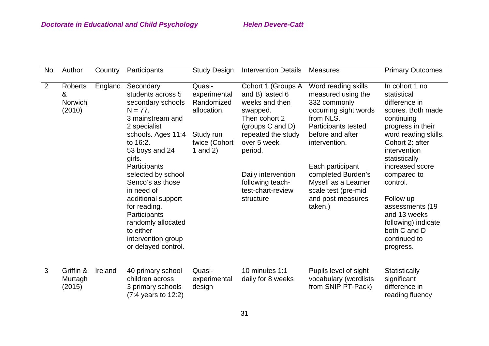| <b>No</b>      | Author                                   | Country | Participants                                                                                                                                                                                               | <b>Study Design</b>                                                                             | <b>Intervention Details</b>                                                                                                                              | <b>Measures</b>                                                                                                                                             | <b>Primary Outcomes</b>                                                                                                                                                            |
|----------------|------------------------------------------|---------|------------------------------------------------------------------------------------------------------------------------------------------------------------------------------------------------------------|-------------------------------------------------------------------------------------------------|----------------------------------------------------------------------------------------------------------------------------------------------------------|-------------------------------------------------------------------------------------------------------------------------------------------------------------|------------------------------------------------------------------------------------------------------------------------------------------------------------------------------------|
| $\overline{2}$ | Roberts<br>&<br><b>Norwich</b><br>(2010) | England | Secondary<br>students across 5<br>secondary schools<br>$N = 77.$<br>3 mainstream and<br>2 specialist<br>schools. Ages 11:4<br>to 16:2.<br>53 boys and 24<br>girls.                                         | Quasi-<br>experimental<br>Randomized<br>allocation.<br>Study run<br>twice (Cohort<br>1 and $2)$ | Cohort 1 (Groups A<br>and B) lasted 6<br>weeks and then<br>swapped.<br>Then cohort 2<br>(groups C and D)<br>repeated the study<br>over 5 week<br>period. | Word reading skills<br>measured using the<br>332 commonly<br>occurring sight words<br>from NLS.<br>Participants tested<br>before and after<br>intervention. | In cohort 1 no<br>statistical<br>difference in<br>scores. Both made<br>continuing<br>progress in their<br>word reading skills.<br>Cohort 2: after<br>intervention<br>statistically |
|                |                                          |         | Participants<br>selected by school<br>Senco's as those<br>in need of<br>additional support<br>for reading.<br>Participants<br>randomly allocated<br>to either<br>intervention group<br>or delayed control. |                                                                                                 | Daily intervention<br>following teach-<br>test-chart-review<br>structure                                                                                 | Each participant<br>completed Burden's<br>Myself as a Learner<br>scale test (pre-mid<br>and post measures<br>taken.)                                        | increased score<br>compared to<br>control.<br>Follow up<br>assessments (19<br>and 13 weeks<br>following) indicate<br>both C and D<br>continued to<br>progress.                     |
| 3              | Griffin &<br>Murtagh<br>(2015)           | Ireland | 40 primary school<br>children across<br>3 primary schools<br>$(7:4 \text{ years to } 12:2)$                                                                                                                | Quasi-<br>experimental<br>design                                                                | 10 minutes 1:1<br>daily for 8 weeks                                                                                                                      | Pupils level of sight<br>vocabulary (wordlists<br>from SNIP PT-Pack)                                                                                        | Statistically<br>significant<br>difference in<br>reading fluency                                                                                                                   |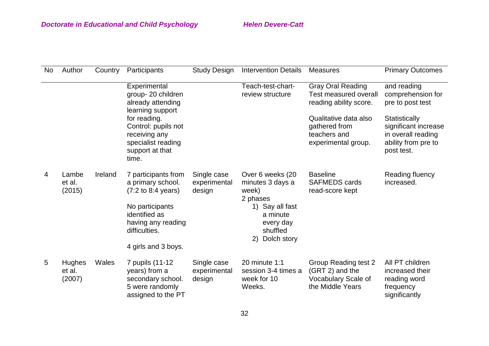| No | Author                            | Country | Participants                                                                                                                                                                        | <b>Study Design</b>                   | <b>Intervention Details</b>                                                                                                               | <b>Measures</b>                                                                           | <b>Primary Outcomes</b>                                                                          |
|----|-----------------------------------|---------|-------------------------------------------------------------------------------------------------------------------------------------------------------------------------------------|---------------------------------------|-------------------------------------------------------------------------------------------------------------------------------------------|-------------------------------------------------------------------------------------------|--------------------------------------------------------------------------------------------------|
|    |                                   |         | Experimental<br>group-20 children<br>already attending<br>learning support                                                                                                          |                                       | Teach-test-chart-<br>review structure                                                                                                     | <b>Gray Oral Reading</b><br><b>Test measured overall</b><br>reading ability score.        | and reading<br>comprehension for<br>pre to post test                                             |
|    |                                   |         | for reading.<br>Control: pupils not<br>receiving any<br>specialist reading<br>support at that<br>time.                                                                              |                                       |                                                                                                                                           | Qualitative data also<br>gathered from<br>teachers and<br>experimental group.             | Statistically<br>significant increase<br>in overall reading<br>ability from pre to<br>post test. |
| 4  | Lambe<br>et al.<br>(2015)         | Ireland | 7 participants from<br>a primary school.<br>$(7:2 \text{ to } 8:4 \text{ years})$<br>No participants<br>identified as<br>having any reading<br>difficulties.<br>4 girls and 3 boys. | Single case<br>experimental<br>design | Over 6 weeks (20<br>minutes 3 days a<br>week)<br>2 phases<br>Say all fast<br>1)<br>a minute<br>every day<br>shuffled<br>Dolch story<br>2) | <b>Baseline</b><br><b>SAFMEDS cards</b><br>read-score kept                                | Reading fluency<br>increased.                                                                    |
| 5  | <b>Hughes</b><br>et al.<br>(2007) | Wales   | 7 pupils (11-12<br>years) from a<br>secondary school.<br>5 were randomly<br>assigned to the PT                                                                                      | Single case<br>experimental<br>design | 20 minute 1:1<br>session 3-4 times a<br>week for 10<br>Weeks.                                                                             | <b>Group Reading test 2</b><br>(GRT 2) and the<br>Vocabulary Scale of<br>the Middle Years | All PT children<br>increased their<br>reading word<br>frequency<br>significantly                 |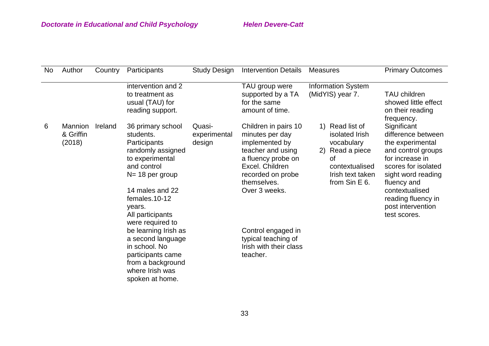| No | Author                                | Country | Participants                                                                                                                                                                                                   | <b>Study Design</b>              | <b>Intervention Details</b>                                                                                                                                                  | <b>Measures</b>                                                                                                                       | <b>Primary Outcomes</b>                                                                                                                                                                                                                 |
|----|---------------------------------------|---------|----------------------------------------------------------------------------------------------------------------------------------------------------------------------------------------------------------------|----------------------------------|------------------------------------------------------------------------------------------------------------------------------------------------------------------------------|---------------------------------------------------------------------------------------------------------------------------------------|-----------------------------------------------------------------------------------------------------------------------------------------------------------------------------------------------------------------------------------------|
|    |                                       |         | intervention and 2<br>to treatment as<br>usual (TAU) for<br>reading support.                                                                                                                                   |                                  | TAU group were<br>supported by a TA<br>for the same<br>amount of time.                                                                                                       | <b>Information System</b><br>(MidYIS) year 7.                                                                                         | <b>TAU children</b><br>showed little effect<br>on their reading<br>frequency.                                                                                                                                                           |
| 6  | <b>Mannion</b><br>& Griffin<br>(2018) | Ireland | 36 primary school<br>students.<br>Participants<br>randomly assigned<br>to experimental<br>and control<br>N= 18 per group<br>14 males and 22<br>females.10-12<br>years.<br>All participants<br>were required to | Quasi-<br>experimental<br>design | Children in pairs 10<br>minutes per day<br>implemented by<br>teacher and using<br>a fluency probe on<br>Excel. Children<br>recorded on probe<br>themselves.<br>Over 3 weeks. | Read list of<br>1)<br>isolated Irish<br>vocabulary<br>2)<br>Read a piece<br>οf<br>contextualised<br>Irish text taken<br>from Sin E 6. | Significant<br>difference between<br>the experimental<br>and control groups<br>for increase in<br>scores for isolated<br>sight word reading<br>fluency and<br>contextualised<br>reading fluency in<br>post intervention<br>test scores. |
|    |                                       |         | be learning Irish as<br>a second language<br>in school. No<br>participants came<br>from a background<br>where Irish was<br>spoken at home.                                                                     |                                  | Control engaged in<br>typical teaching of<br>Irish with their class<br>teacher.                                                                                              |                                                                                                                                       |                                                                                                                                                                                                                                         |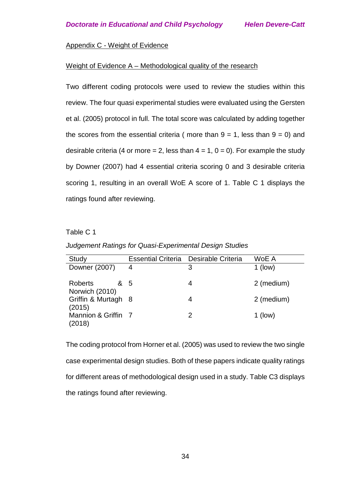# Appendix C - Weight of Evidence

### Weight of Evidence A – Methodological quality of the research

Two different coding protocols were used to review the studies within this review. The four quasi experimental studies were evaluated using the Gersten et al. (2005) protocol in full. The total score was calculated by adding together the scores from the essential criteria (more than  $9 = 1$ , less than  $9 = 0$ ) and desirable criteria (4 or more = 2, less than  $4 = 1$ ,  $0 = 0$ ). For example the study by Downer (2007) had 4 essential criteria scoring 0 and 3 desirable criteria scoring 1, resulting in an overall WoE A score of 1. Table C 1 displays the ratings found after reviewing.

# Table C 1

*Judgement Ratings for Quasi-Experimental Design Studies*

| Study                                   |   | Essential Criteria Desirable Criteria | WoE A      |
|-----------------------------------------|---|---------------------------------------|------------|
| Downer (2007)                           | 4 | 3                                     | $1$ (low)  |
| <b>Roberts</b><br>& 5<br>Norwich (2010) |   | 4                                     | 2 (medium) |
| Griffin & Murtagh 8<br>(2015)           |   | 4                                     | 2 (medium) |
| Mannion & Griffin 7<br>(2018)           |   | 2                                     | $1$ (low)  |

The coding protocol from Horner et al. (2005) was used to review the two single case experimental design studies. Both of these papers indicate quality ratings for different areas of methodological design used in a study. Table C3 displays the ratings found after reviewing.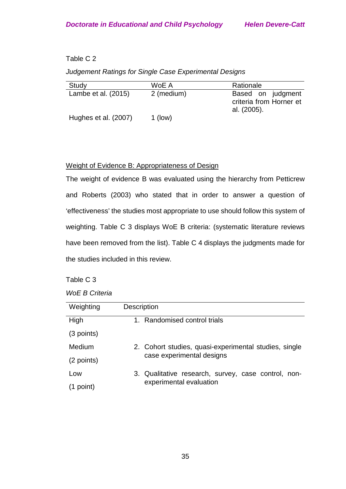# Table C 2

## *Judgement Ratings for Single Case Experimental Designs*

| Study                | WoE A      | Rationale                                                   |
|----------------------|------------|-------------------------------------------------------------|
| Lambe et al. (2015)  | 2 (medium) | Based on judgment<br>criteria from Horner et<br>al. (2005). |
| Hughes et al. (2007) | $1$ (low)  |                                                             |

# Weight of Evidence B: Appropriateness of Design

The weight of evidence B was evaluated using the hierarchy from Petticrew and Roberts (2003) who stated that in order to answer a question of 'effectiveness' the studies most appropriate to use should follow this system of weighting. Table C 3 displays WoE B criteria: (systematic literature reviews have been removed from the list). Table C 4 displays the judgments made for the studies included in this review.

# Table C 3

| <b>WoE B Criteria</b> |  |
|-----------------------|--|
|-----------------------|--|

| Weighting  | <b>Description</b>                                    |
|------------|-------------------------------------------------------|
| High       | Randomised control trials<br>1.                       |
| (3 points) |                                                       |
| Medium     | 2. Cohort studies, quasi-experimental studies, single |
| (2 points) | case experimental designs                             |
| Low        | 3. Qualitative research, survey, case control, non-   |
| (1 point)  | experimental evaluation                               |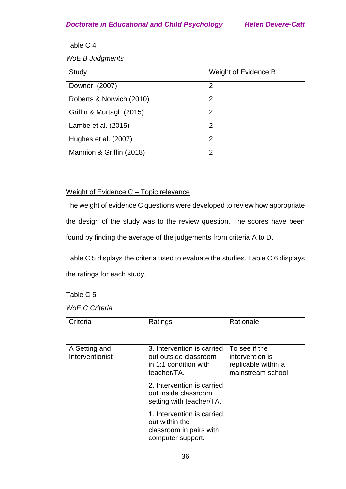# Table C 4

*WoE B Judgments*

| Study                    | Weight of Evidence B |
|--------------------------|----------------------|
| Downer, (2007)           | $\mathcal{P}$        |
| Roberts & Norwich (2010) | 2                    |
| Griffin & Murtagh (2015) | 2                    |
| Lambe et al. (2015)      | $\mathcal{P}$        |
| Hughes et al. (2007)     | 2                    |
| Mannion & Griffin (2018) | 2                    |

# Weight of Evidence C – Topic relevance

The weight of evidence C questions were developed to review how appropriate the design of the study was to the review question. The scores have been found by finding the average of the judgements from criteria A to D.

Table C 5 displays the criteria used to evaluate the studies. Table C 6 displays the ratings for each study.

# Table C 5

*WoE C Criteria*

| Criteria                         | Ratings                                                                                                   | Rationale                                                    |
|----------------------------------|-----------------------------------------------------------------------------------------------------------|--------------------------------------------------------------|
| A Setting and<br>Interventionist | 3. Intervention is carried To see if the<br>out outside classroom<br>in 1:1 condition with<br>teacher/TA. | intervention is<br>replicable within a<br>mainstream school. |
|                                  | 2. Intervention is carried<br>out inside classroom<br>setting with teacher/TA.                            |                                                              |
|                                  | 1. Intervention is carried<br>out within the<br>classroom in pairs with<br>computer support.              |                                                              |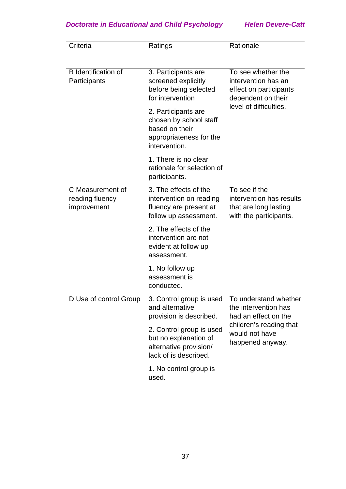| Criteria                                           | Ratings                                                                                                     | Rationale                                                                                                           |  |
|----------------------------------------------------|-------------------------------------------------------------------------------------------------------------|---------------------------------------------------------------------------------------------------------------------|--|
| <b>B</b> Identification of<br>Participants         | 3. Participants are<br>screened explicitly<br>before being selected<br>for intervention                     | To see whether the<br>intervention has an<br>effect on participants<br>dependent on their<br>level of difficulties. |  |
|                                                    | 2. Participants are<br>chosen by school staff<br>based on their<br>appropriateness for the<br>intervention. |                                                                                                                     |  |
|                                                    | 1. There is no clear<br>rationale for selection of<br>participants.                                         |                                                                                                                     |  |
| C Measurement of<br>reading fluency<br>improvement | 3. The effects of the<br>intervention on reading<br>fluency are present at<br>follow up assessment.         | To see if the<br>intervention has results<br>that are long lasting<br>with the participants.                        |  |
|                                                    | 2. The effects of the<br>intervention are not<br>evident at follow up<br>assessment.                        |                                                                                                                     |  |
|                                                    | 1. No follow up<br>assessment is<br>conducted.                                                              |                                                                                                                     |  |
| D Use of control Group                             | 3. Control group is used To understand whether<br>and alternative<br>provision is described.                | the intervention has<br>had an effect on the                                                                        |  |
|                                                    | 2. Control group is used<br>but no explanation of<br>alternative provision/<br>lack of is described.        | children's reading that<br>would not have<br>happened anyway.                                                       |  |
|                                                    | 1. No control group is<br>used.                                                                             |                                                                                                                     |  |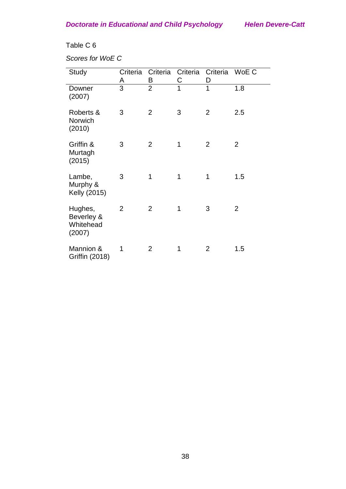# Table C 6

*Scores for WoE C*

| <b>Study</b>                                 | Criteria<br>A  | Criteria<br>B  | Criteria<br>С  | Criteria<br>D  | WoE C          |
|----------------------------------------------|----------------|----------------|----------------|----------------|----------------|
| Downer<br>(2007)                             | $\overline{3}$ | $\overline{2}$ | $\overline{1}$ | $\overline{1}$ | 1.8            |
| Roberts &<br>Norwich<br>(2010)               | 3              | $\overline{2}$ | 3              | $\overline{2}$ | 2.5            |
| Griffin &<br>Murtagh<br>(2015)               | 3              | $\overline{2}$ | 1              | $\overline{2}$ | $\overline{2}$ |
| Lambe,<br>Murphy &<br>Kelly (2015)           | 3              | 1              | 1              | 1              | 1.5            |
| Hughes,<br>Beverley &<br>Whitehead<br>(2007) | $\overline{2}$ | $\overline{2}$ | 1              | 3              | $\overline{2}$ |
| Mannion &<br><b>Griffin (2018)</b>           | 1              | $\overline{2}$ | 1              | $\overline{2}$ | 1.5            |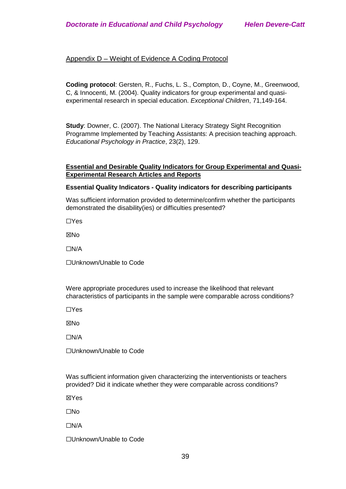# Appendix D – Weight of Evidence A Coding Protocol

**Coding protocol**: Gersten, R., Fuchs, L. S., Compton, D., Coyne, M., Greenwood, C, & Innocenti, M. (2004). Quality indicators for group experimental and quasiexperimental research in special education. *Exceptional Children*, 71,149-164.

**Study**: Downer, C. (2007). The National Literacy Strategy Sight Recognition Programme Implemented by Teaching Assistants: A precision teaching approach. *Educational Psychology in Practice*, 23(2), 129.

### **Essential and Desirable Quality Indicators for Group Experimental and Quasi-Experimental Research Articles and Reports**

#### **Essential Quality Indicators - Quality indicators for describing participants**

Was sufficient information provided to determine/confirm whether the participants demonstrated the disability(ies) or difficulties presented?

☐Yes

**XNo** 

☐N/A

☐Unknown/Unable to Code

Were appropriate procedures used to increase the likelihood that relevant characteristics of participants in the sample were comparable across conditions?

☐Yes

☒No

☐N/A

☐Unknown/Unable to Code

Was sufficient information given characterizing the interventionists or teachers provided? Did it indicate whether they were comparable across conditions?

☒Yes

☐No

☐N/A

☐Unknown/Unable to Code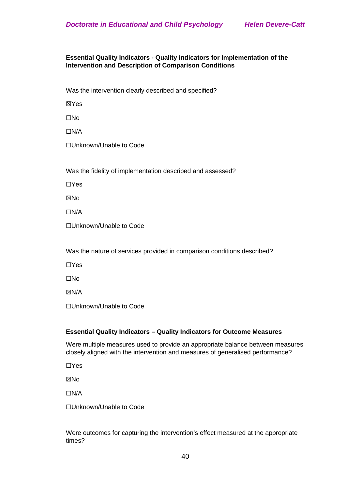### **Essential Quality Indicators - Quality indicators for Implementation of the Intervention and Description of Comparison Conditions**

Was the intervention clearly described and specified?

☒Yes

☐No

☐N/A

☐Unknown/Unable to Code

Was the fidelity of implementation described and assessed?

☐Yes

**⊠No** 

☐N/A

☐Unknown/Unable to Code

Was the nature of services provided in comparison conditions described?

☐Yes

☐No

☒N/A

☐Unknown/Unable to Code

#### **Essential Quality Indicators – Quality Indicators for Outcome Measures**

Were multiple measures used to provide an appropriate balance between measures closely aligned with the intervention and measures of generalised performance?

☐Yes

☒No

☐N/A

☐Unknown/Unable to Code

Were outcomes for capturing the intervention's effect measured at the appropriate times?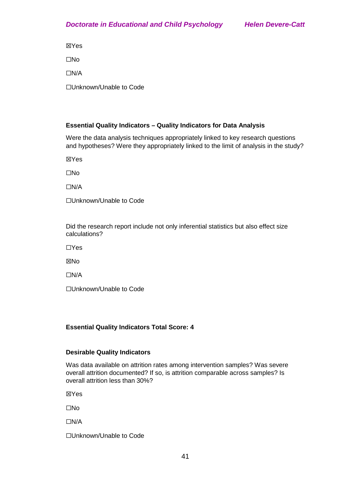☒Yes

☐No

☐N/A

☐Unknown/Unable to Code

# **Essential Quality Indicators – Quality Indicators for Data Analysis**

Were the data analysis techniques appropriately linked to key research questions and hypotheses? Were they appropriately linked to the limit of analysis in the study?

☒Yes

☐No

☐N/A

☐Unknown/Unable to Code

Did the research report include not only inferential statistics but also effect size calculations?

☐Yes

**XNo** 

☐N/A

☐Unknown/Unable to Code

# **Essential Quality Indicators Total Score: 4**

# **Desirable Quality Indicators**

Was data available on attrition rates among intervention samples? Was severe overall attrition documented? If so, is attrition comparable across samples? Is overall attrition less than 30%?

☒Yes

☐No

☐N/A

☐Unknown/Unable to Code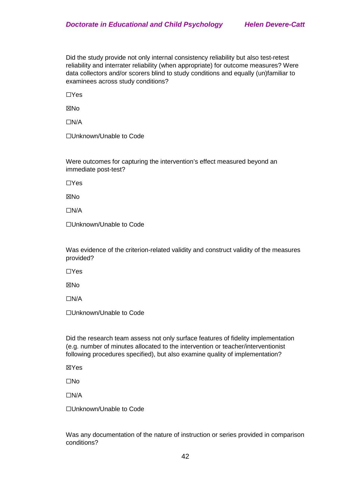Did the study provide not only internal consistency reliability but also test-retest reliability and interrater reliability (when appropriate) for outcome measures? Were data collectors and/or scorers blind to study conditions and equally (un)familiar to examinees across study conditions?

☐Yes

**XNo** 

☐N/A

☐Unknown/Unable to Code

Were outcomes for capturing the intervention's effect measured beyond an immediate post-test?

☐Yes

**XNo** 

☐N/A

☐Unknown/Unable to Code

Was evidence of the criterion-related validity and construct validity of the measures provided?

☐Yes

☒No

☐N/A

☐Unknown/Unable to Code

Did the research team assess not only surface features of fidelity implementation (e.g. number of minutes allocated to the intervention or teacher/interventionist following procedures specified), but also examine quality of implementation?

☒Yes

☐No

☐N/A

☐Unknown/Unable to Code

Was any documentation of the nature of instruction or series provided in comparison conditions?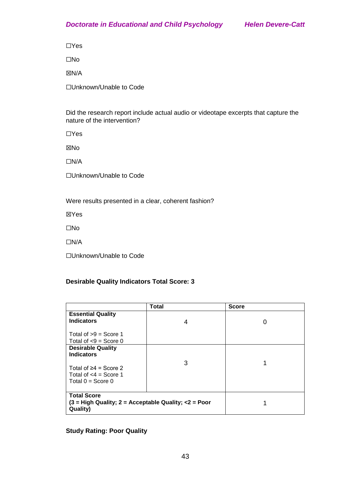☐Yes

☐No

☒N/A

☐Unknown/Unable to Code

Did the research report include actual audio or videotape excerpts that capture the nature of the intervention?

☐Yes

☒No

☐N/A

☐Unknown/Unable to Code

Were results presented in a clear, coherent fashion?

☒Yes

☐No

☐N/A

☐Unknown/Unable to Code

# **Desirable Quality Indicators Total Score: 3**

|                                                                                          | Total | <b>Score</b> |
|------------------------------------------------------------------------------------------|-------|--------------|
| <b>Essential Quality</b><br><b>Indicators</b>                                            |       |              |
|                                                                                          | 4     | 0            |
| Total of $>9$ = Score 1                                                                  |       |              |
| Total of $< 9$ = Score 0                                                                 |       |              |
| <b>Desirable Quality</b>                                                                 |       |              |
| <b>Indicators</b>                                                                        |       |              |
| Total of $\geq 4$ = Score 2<br>Total of $<$ 4 = Score 1<br>Total $0 =$ Score 0           | 3     |              |
| <b>Total Score</b><br>$(3 = High Quality; 2 = Acceptable Quality; <2 = Poor$<br>Quality) |       |              |

# **Study Rating: Poor Quality**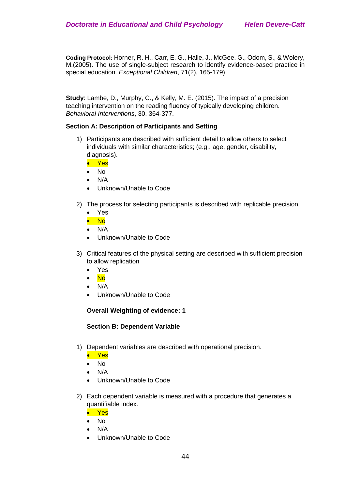**Coding Protocol:** Horner, R. H., Carr, E. G., Halle, J., McGee, G., Odom, S., & Wolery, M.(2005). The use of single-subject research to identify evidence-based practice in special education. *Exceptional Children*, 71(2), 165-179)

**Study**: Lambe, D., Murphy, C., & Kelly, M. E. (2015). The impact of a precision teaching intervention on the reading fluency of typically developing children. *Behavioral Interventions*, 30, 364-377.

#### **Section A: Description of Participants and Setting**

- 1) Participants are described with sufficient detail to allow others to select individuals with similar characteristics; (e.g., age, gender, disability, diagnosis).
	- Yes
	- No
	- N/A
	- Unknown/Unable to Code
- 2) The process for selecting participants is described with replicable precision.
	- Yes
	- No
	- N/A
	- Unknown/Unable to Code
- 3) Critical features of the physical setting are described with sufficient precision to allow replication
	- Yes
	- No
	- N/A
	- Unknown/Unable to Code

#### **Overall Weighting of evidence: 1**

#### **Section B: Dependent Variable**

- 1) Dependent variables are described with operational precision.
	- Yes
	- No
	- N/A
	- Unknown/Unable to Code
- 2) Each dependent variable is measured with a procedure that generates a quantifiable index.
	- Yes
	- No
	- N/A
	- Unknown/Unable to Code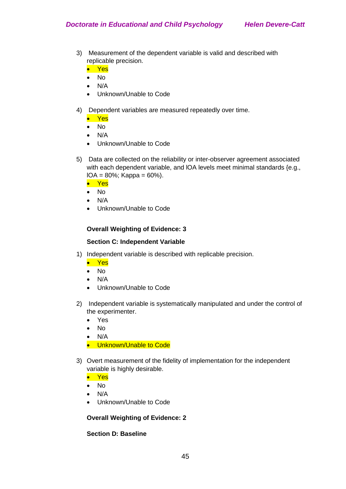- 3) Measurement of the dependent variable is valid and described with replicable precision.
	- Yes
	- No
	- N/A
	- Unknown/Unable to Code
- 4) Dependent variables are measured repeatedly over time.
	- Yes
	- No
	- N/A
	- Unknown/Unable to Code
- 5) Data are collected on the reliability or inter-observer agreement associated with each dependent variable, and IOA levels meet minimal standards {e.g.,  $IOA = 80\%$ ; Kappa = 60%).
	- Yes
	- No
	- N/A
	- Unknown/Unable to Code

## **Overall Weighting of Evidence: 3**

#### **Section C: Independent Variable**

- 1) Independent variable is described with replicable precision.
	- Yes
	- No
	- N/A
	- Unknown/Unable to Code
- 2) Independent variable is systematically manipulated and under the control of the experimenter.
	- Yes
	- No
	- N/A
	- Unknown/Unable to Code
- 3) Overt measurement of the fidelity of implementation for the independent variable is highly desirable.
	- Yes
	- No
	- N/A
	- Unknown/Unable to Code

# **Overall Weighting of Evidence: 2**

# **Section D: Baseline**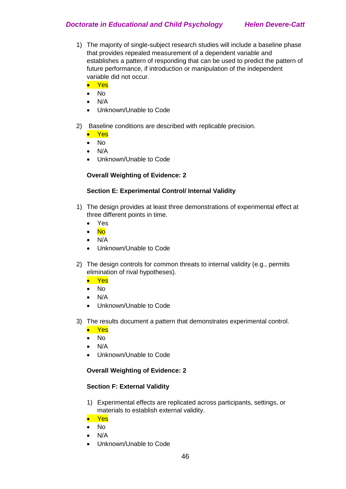- 1) The majority of single-subject research studies will include a baseline phase that provides repealed measurement of a dependent variable and establishes a pattern of responding that can be used to predict the pattern of future performance, if introduction or manipulation of the independent variable did not occur.
	- Yes
	- No
	- N/A
	- Unknown/Unable to Code
- 2) Baseline conditions are described with replicable precision.
	- Yes
	- No
	- N/A
	- Unknown/Unable to Code

## **Overall Weighting of Evidence: 2**

#### **Section E: Experimental Control/ Internal Validity**

- 1) The design provides at least three demonstrations of experimental effect at three different points in time.
	- Yes
	- No
	- N/A
	- Unknown/Unable to Code
- 2) The design controls for common threats to internal validity (e.g., permits elimination of rival hypotheses).
	- Yes
	- No
	- N/A
	- Unknown/Unable to Code
- 3) The results document a pattern that demonstrates experimental control.
	- Yes
	- No
	- N/A
	- Unknown/Unable to Code

#### **Overall Weighting of Evidence: 2**

#### **Section F: External Validity**

- 1) Experimental effects are replicated across participants, settings, or materials to establish external validity.
- Yes
- No
- N/A
- Unknown/Unable to Code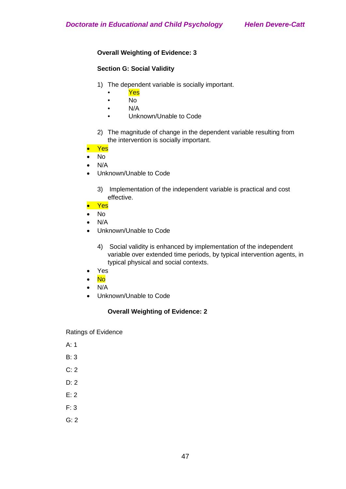# **Overall Weighting of Evidence: 3**

# **Section G: Social Validity**

- 1) The dependent variable is socially important.
	- Yes
	- No
	- N/A
	- Unknown/Unable to Code
- 2) The magnitude of change in the dependent variable resulting from the intervention is socially important.
- Yes
- No
- $\bullet$  N/A
- Unknown/Unable to Code
	- 3) Implementation of the independent variable is practical and cost effective.
- Yes
- No
- N/A
- Unknown/Unable to Code
	- 4) Social validity is enhanced by implementation of the independent variable over extended time periods, by typical intervention agents, in typical physical and social contexts.
- Yes
- No
- N/A
- Unknown/Unable to Code

# **Overall Weighting of Evidence: 2**

Ratings of Evidence

- A: 1
- B: 3
- C: 2
- D: 2
- E: 2
- $F: 3$
- G: 2